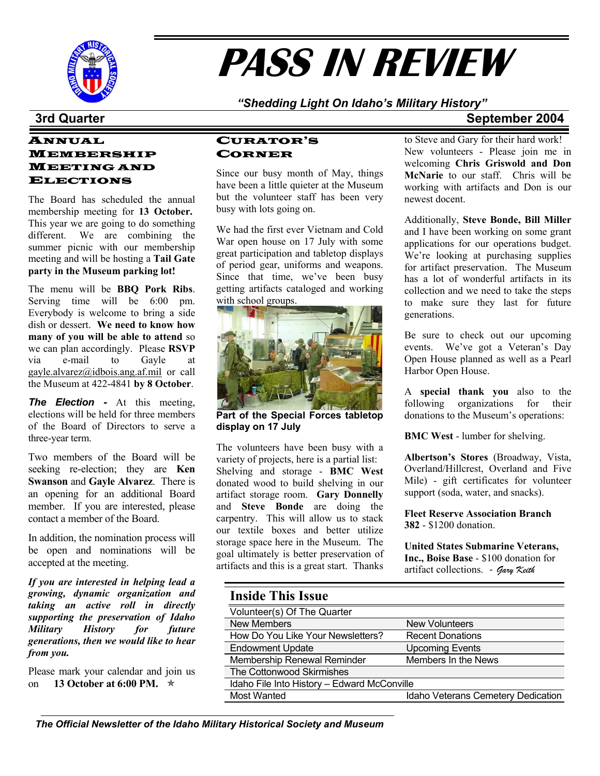

# **PASS IN REVIEW**

#### *"Shedding Light On Idaho's Military History"*

#### ANNUAL MEMBERSHIP MEETING AND **ELECTIONS**

The Board has scheduled the annual membership meeting for **13 October.** This year we are going to do something different. We are combining the summer picnic with our membership meeting and will be hosting a **Tail Gate party in the Museum parking lot!**

The menu will be **BBQ Pork Ribs**. Serving time will be 6:00 pm. Everybody is welcome to bring a side dish or dessert. **We need to know how many of you will be able to attend** so we can plan accordingly. Please **RSVP** via e-mail to Gayle at [gayle.alvarez@idbois.ang.af.mil](mailto:gayle.alvarez@idbois.ang.af.mil) or call the Museum at 422-4841 **by 8 October**.

*The Election -* At this meeting, elections will be held for three members of the Board of Directors to serve a three-year term.

Two members of the Board will be seeking re-election; they are **Ken Swanson** and **Gayle Alvarez**. There is an opening for an additional Board member. If you are interested, please contact a member of the Board.

In addition, the nomination process will be open and nominations will be accepted at the meeting.

*If you are interested in helping lead a growing, dynamic organization and taking an active roll in directly supporting the preservation of Idaho Military History for future generations, then we would like to hear from you.* 

Please mark your calendar and join us on **13 October at 6:00 PM.** ★

#### CURATOR'S CORNER

Since our busy month of May, things have been a little quieter at the Museum but the volunteer staff has been very busy with lots going on.

We had the first ever Vietnam and Cold War open house on 17 July with some great participation and tabletop displays of period gear, uniforms and weapons. Since that time, we've been busy getting artifacts cataloged and working with school groups.



**Part of the Special Forces tabletop display on 17 July**

The volunteers have been busy with a variety of projects, here is a partial list: Shelving and storage - **BMC West** donated wood to build shelving in our artifact storage room. **Gary Donnelly** and **Steve Bonde** are doing the carpentry. This will allow us to stack our textile boxes and better utilize storage space here in the Museum. The goal ultimately is better preservation of artifacts and this is a great start. Thanks

## **3rd Quarter September 2004**

to Steve and Gary for their hard work! New volunteers - Please join me in welcoming **Chris Griswold and Don McNarie** to our staff. Chris will be working with artifacts and Don is our newest docent.

Additionally, **Steve Bonde, Bill Miller** and I have been working on some grant applications for our operations budget. We're looking at purchasing supplies for artifact preservation. The Museum has a lot of wonderful artifacts in its collection and we need to take the steps to make sure they last for future generations.

Be sure to check out our upcoming events. We've got a Veteran's Day Open House planned as well as a Pearl Harbor Open House.

A **special thank you** also to the following organizations for their donations to the Museum's operations:

**BMC West** - lumber for shelving.

**Albertson's Stores** (Broadway, Vista, Overland/Hillcrest, Overland and Five Mile) - gift certificates for volunteer support (soda, water, and snacks).

**Fleet Reserve Association Branch 382** - \$1200 donation.

**United States Submarine Veterans, Inc., Boise Base** - \$100 donation for artifact collections. *- Gary Keith* 

| <b>Inside This Issue</b>                    |                                    |
|---------------------------------------------|------------------------------------|
| Volunteer(s) Of The Quarter                 |                                    |
| <b>New Members</b>                          | <b>New Volunteers</b>              |
| How Do You Like Your Newsletters?           | <b>Recent Donations</b>            |
| <b>Endowment Update</b>                     | <b>Upcoming Events</b>             |
| Membership Renewal Reminder                 | Members In the News                |
| The Cottonwood Skirmishes                   |                                    |
| Idaho File Into History - Edward McConville |                                    |
| <b>Most Wanted</b>                          | Idaho Veterans Cemetery Dedication |
|                                             |                                    |

*The Official Newsletter of the Idaho Military Historical Society and Museum*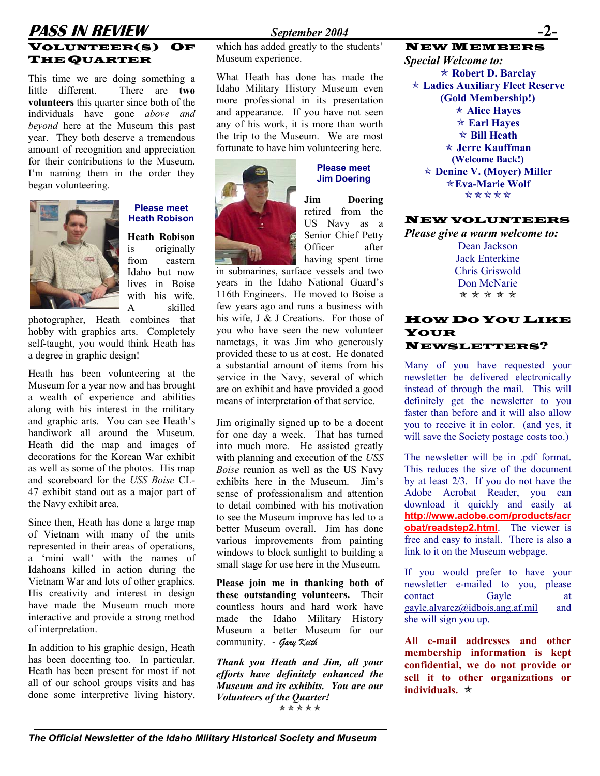### **PASS IN REVIEW September 2004** VOLUNTEER(S) OF THE QUARTER

This time we are doing something a little different. There are **two volunteers** this quarter since both of the individuals have gone *above and beyond* here at the Museum this past year. They both deserve a tremendous amount of recognition and appreciation for their contributions to the Museum. I'm naming them in the order they began volunteering.



#### **Please meet Heath Robison**

**Heath Robison**  is originally from eastern Idaho but now lives in Boise with his wife A skilled

photographer, Heath combines that hobby with graphics arts. Completely self-taught, you would think Heath has a degree in graphic design!

Heath has been volunteering at the Museum for a year now and has brought a wealth of experience and abilities along with his interest in the military and graphic arts. You can see Heath's handiwork all around the Museum. Heath did the map and images of decorations for the Korean War exhibit as well as some of the photos. His map and scoreboard for the *USS Boise* CL-47 exhibit stand out as a major part of the Navy exhibit area.

Since then, Heath has done a large map of Vietnam with many of the units represented in their areas of operations, a 'mini wall' with the names of Idahoans killed in action during the Vietnam War and lots of other graphics. His creativity and interest in design have made the Museum much more interactive and provide a strong method of interpretation.

In addition to his graphic design, Heath has been docenting too. In particular, Heath has been present for most if not all of our school groups visits and has done some interpretive living history,

which has added greatly to the students' Museum experience.

Idaho Military History Museum even more professional in its presentation and appearance. If you have not seen any of his work, it is more than worth the trip to the Museum. We are most fortunate to have him volunteering here.



## **Jim Doering**

**Jim Doering** retired from the US Navy as a Senior Chief Petty Officer after having spent time

in submarines, surface vessels and two years in the Idaho National Guard's 116th Engineers. He moved to Boise a few years ago and runs a business with his wife, J & J Creations. For those of you who have seen the new volunteer nametags, it was Jim who generously provided these to us at cost. He donated a substantial amount of items from his service in the Navy, several of which are on exhibit and have provided a good means of interpretation of that service.

Jim originally signed up to be a docent for one day a week. That has turned into much more. He assisted greatly with planning and execution of the *USS Boise* reunion as well as the US Navy exhibits here in the Museum. Jim's sense of professionalism and attention to detail combined with his motivation to see the Museum improve has led to a better Museum overall. Jim has done various improvements from painting windows to block sunlight to building a small stage for use here in the Museum.

**Please join me in thanking both of these outstanding volunteers.** Their countless hours and hard work have made the Idaho Military History Museum a better Museum for our community. *- Gary Keith* **All e-mail addresses and other**

*Thank you Heath and Jim, all your efforts have definitely enhanced the Museum and its exhibits. You are our Volunteers of the Quarter!* \*\*\*\*\*

NEW MEMBERS *Special Welcome to:* What Heath has done has made the  $\star$  **Robert D. Barclay** Õ **Ladies Auxiliary Fleet Reserve (Gold Membership!)**  Õ **Alice Hayes**  Õ **Earl Hayes**  Õ **Bill Heath** Õ **Jerre Kauffman Please meet**  $\star$  **Denine V. (Moyer) Miller** Õ**Eva-Marie Wolf** \*\*\*\*\*

#### NEW VOLUNTEERS

*Please give a warm welcome to:*  Dean Jackson Jack Enterkine Chris Griswold Don McNarie \* \* \* \* \*

#### HOW DO YOU LIKE YOUR NEWSLETTERS?

Many of you have requested your newsletter be delivered electronically instead of through the mail. This will definitely get the newsletter to you faster than before and it will also allow you to receive it in color. (and yes, it will save the Society postage costs too.)

The newsletter will be in .pdf format. This reduces the size of the document by at least 2/3. If you do not have the Adobe Acrobat Reader, you can download it quickly and easily at **[http://www.adobe.com/products/acr](http://www.adobe.com/products/acrobat/readstep2.html) [obat/readstep2.html](http://www.adobe.com/products/acrobat/readstep2.html)**. The viewer is free and easy to install. There is also a link to it on the Museum webpage.

If you would prefer to have your newsletter e-mailed to you, please contact Gayle at [gayle.alvarez@idbois.ang.af.mil](mailto:gayle.alvarez@idbois.ang.af.mil) and she will sign you up.

**membership information is kept confidential, we do not provide or sell it to other organizations or individuals.**  $*$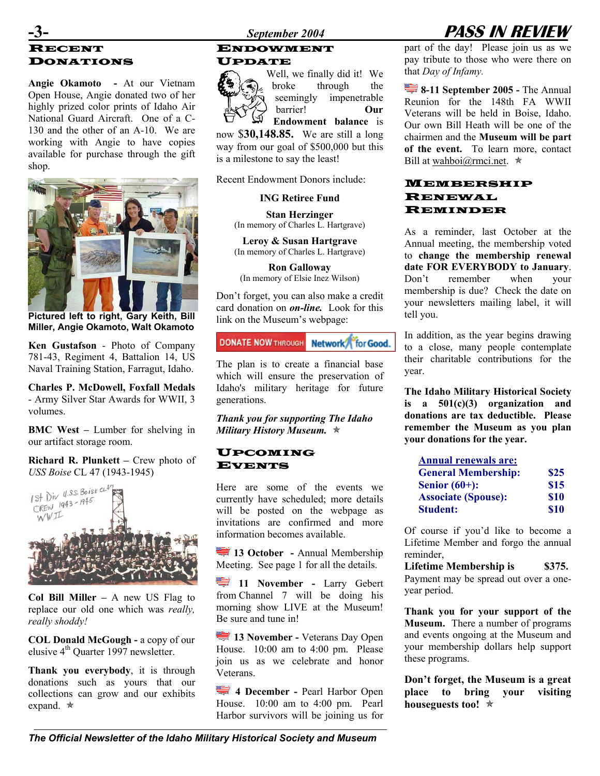### RECENT DONATIONS UPDATE

**Angie Okamoto -** At our Vietnam Open House, Angie donated two of her highly prized color prints of Idaho Air National Guard Aircraft. One of a C-130 and the other of an A-10. We are working with Angie to have copies available for purchase through the gift shop.



**Pictured left to right, Gary Keith, Bill Miller, Angie Okamoto, Walt Okamoto** 

**Ken Gustafson** - Photo of Company 781-43, Regiment 4, Battalion 14, US Naval Training Station, Farragut, Idaho.

**Charles P. McDowell, Foxfall Medals** - Army Silver Star Awards for WWII, 3 volumes.

**BMC** West – Lumber for shelving in our artifact storage room.

**Richard R. Plunkett – Crew photo of** *USS Boise* CL 47 (1943-1945)



**Col Bill Miller –** A new US Flag to replace our old one which was *really, really shoddy!*

**COL Donald McGough -** a copy of our elusive  $4<sup>th</sup>$  Quarter 1997 newsletter.

**Thank you everybody**, it is through donations such as yours that our collections can grow and our exhibits expand.  $\star$ 

### ENDOWMENT



Well, we finally did it! We broke through the seemingly impenetrable barrier! **Our Endowment balance** is

now \$**30,148.85.** We are still a long way from our goal of \$500,000 but this is a milestone to say the least!

Recent Endowment Donors include:

**ING Retiree Fund** 

**Stan Herzinger**  (In memory of Charles L. Hartgrave)

**Leroy & Susan Hartgrave** (In memory of Charles L. Hartgrave)

**Ron Galloway** (In memory of Elsie Inez Wilson)

Don't forget, you can also make a credit card donation on *on-line.* Look for this link on the Museum's webpage:

### **DONATE NOW THROUGH Network** for Good.

The plan is to create a financial base which will ensure the preservation of Idaho's military heritage for future generations.

*Thank you for supporting The Idaho Military History Museum.*  $\star$ 

#### UPCOMING EVENTS

Here are some of the events we currently have scheduled; more details will be posted on the webpage as invitations are confirmed and more information becomes available.

**13 October - Annual Membership** Meeting.See page 1 for all the details.

**11 November - Larry Gebert** from Channel 7 will be doing his morning show LIVE at the Museum! Be sure and tune in!

**13 November - Veterans Day Open** House. 10:00 am to 4:00 pm. Please join us as we celebrate and honor Veterans.

**4 December -** Pearl Harbor Open House. 10:00 am to 4:00 pm. Pearl Harbor survivors will be joining us for

### **-3-** *September 2004* **PASS IN REVIEW**

part of the day! Please join us as we pay tribute to those who were there on that *Day of Infamy.* 

**8-11 September 2005 - The Annual** Reunion for the 148th FA WWII Veterans will be held in Boise, Idaho. Our own Bill Heath will be one of the chairmen and the **Museum will be part of the event.** To learn more, contact Bill at wahboi $@$ rmci.net.  $\star$ 

#### MEMBERSHIP RENEWAL REMINDER

As a reminder, last October at the Annual meeting, the membership voted to **change the membership renewal date FOR EVERYBODY to January**. Don't remember when your membership is due? Check the date on your newsletters mailing label, it will tell you.

In addition, as the year begins drawing to a close, many people contemplate their charitable contributions for the year.

**The Idaho Military Historical Society is a 501(c)(3) organization and donations are tax deductible. Please remember the Museum as you plan your donations for the year.** 

| <b>Annual renewals are:</b> |             |
|-----------------------------|-------------|
| <b>General Membership:</b>  | \$25        |
| Senior $(60+)$ :            | \$15        |
| <b>Associate (Spouse):</b>  | \$10        |
| <b>Student:</b>             | <b>\$10</b> |

Of course if you'd like to become a Lifetime Member and forgo the annual reminder,

Lifetime Membership is \$375. Payment may be spread out over a oneyear period.

**Thank you for your support of the Museum.** There a number of programs and events ongoing at the Museum and your membership dollars help support these programs.

**Don't forget, the Museum is a great place to bring your visiting houseguests too!** Õ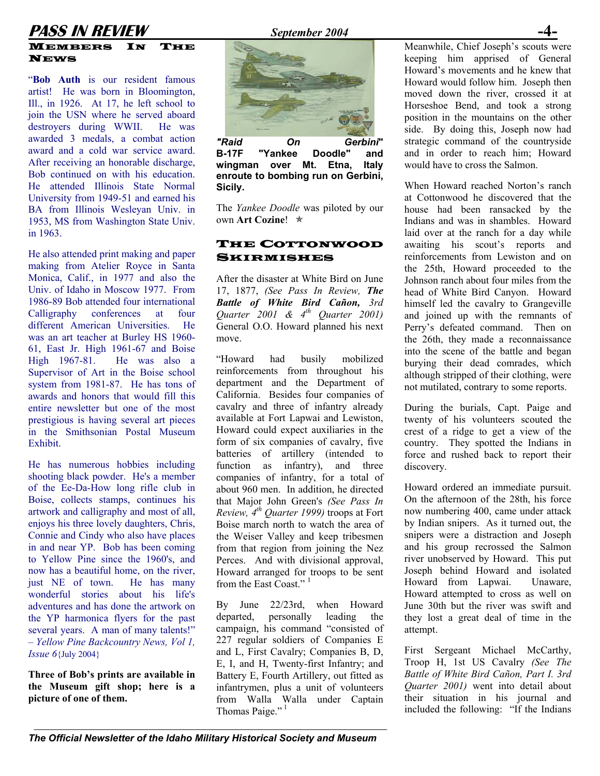### **PASS IN REVIEW** *September 2004*

#### MEMBERS IN THE **NEWS**

"**Bob Auth** is our resident famous artist! He was born in Bloomington, Ill., in 1926. At 17, he left school to join the USN where he served aboard destroyers during WWII. He was awarded 3 medals, a combat action award and a cold war service award. After receiving an honorable discharge, Bob continued on with his education. He attended Illinois State Normal University from 1949-51 and earned his BA from Illinois Wesleyan Univ. in 1953, MS from Washington State Univ. in 1963.

He also attended print making and paper<br>
SKIRMISHES making from Atelier Royce in Santa Monica, Calif., in 1977 and also the Univ. of Idaho in Moscow 1977. From 1986-89 Bob attended four international Calligraphy conferences at four different American Universities. He was an art teacher at Burley HS 1960- 61, East Jr. High 1961-67 and Boise High 1967-81. He was also a Supervisor of Art in the Boise school system from 1981-87. He has tons of awards and honors that would fill this entire newsletter but one of the most prestigious is having several art pieces in the Smithsonian Postal Museum Exhibit.

shooting black powder. He's a member of the Ee-Da-How long rifle club in Boise, collects stamps, continues his artwork and calligraphy and most of all, enjoys his three lovely daughters, Chris, Connie and Cindy who also have places in and near YP. Bob has been coming to Yellow Pine since the 1960's, and now has a beautiful home, on the river, just NE of town. He has many wonderful stories about his life's adventures and has done the artwork on the YP harmonica flyers for the past several years. A man of many talents!" – *Yellow Pine Backcountry News, Vol 1, Issue 6*{July 2004}

**Three of Bob's prints are available in the Museum gift shop; here is a picture of one of them.** 



*"Raid On Gerbini***" B-17F "Yankee Doodle" and wingman over Mt. Etna, Italy enroute to bombing run on Gerbini, Sicily. Sicily. Similarly When Howard reached Norton's ranch** 

The *Yankee Doodle* was piloted by our own **Art Cozine!** ★

## THE COTTONWOOD

After the disaster at White Bird on June 17, 1877, *(See Pass In Review, The Battle of White Bird Cañon, 3rd Quarter 2001 & 4th Quarter 2001)* General O.O. Howard planned his next move.

"Howard had busily mobilized reinforcements from throughout his department and the Department of California. Besides four companies of cavalry and three of infantry already available at Fort Lapwai and Lewiston, Howard could expect auxiliaries in the form of six companies of cavalry, five batteries of artillery (intended to He has numerous hobbies including function as infantry), and three discovery. companies of infantry, for a total of about 960 men. In addition, he directed that Major John Green's *(See Pass In Review, 4th Quarter 1999)* troops at Fort Boise march north to watch the area of the Weiser Valley and keep tribesmen from that region from joining the Nez Perces. And with divisional approval, Howard arranged for troops to be sent from the East Coast."<sup>1</sup>

> By June 22/23rd, when Howard departed, personally leading the campaign, his command "consisted of 227 regular soldiers of Companies E and L, First Cavalry; Companies B, D, E, I, and H, Twenty-first Infantry; and Battery E, Fourth Artillery, out fitted as infantrymen, plus a unit of volunteers from Walla Walla under Captain Thomas Paige."<sup>1</sup>

Meanwhile, Chief Joseph's scouts were keeping him apprised of General Howard's movements and he knew that Howard would follow him. Joseph then moved down the river, crossed it at Horseshoe Bend, and took a strong position in the mountains on the other side. By doing this, Joseph now had strategic command of the countryside and in order to reach him; Howard would have to cross the Salmon.

at Cottonwood he discovered that the house had been ransacked by the Indians and was in shambles. Howard laid over at the ranch for a day while awaiting his scout's reports and reinforcements from Lewiston and on the 25th, Howard proceeded to the Johnson ranch about four miles from the head of White Bird Canyon. Howard himself led the cavalry to Grangeville and joined up with the remnants of Perry's defeated command. Then on the 26th, they made a reconnaissance into the scene of the battle and began burying their dead comrades, which although stripped of their clothing, were not mutilated, contrary to some reports.

During the burials, Capt. Paige and twenty of his volunteers scouted the crest of a ridge to get a view of the country. They spotted the Indians in force and rushed back to report their

Howard ordered an immediate pursuit. On the afternoon of the 28th, his force now numbering 400, came under attack by Indian snipers. As it turned out, the snipers were a distraction and Joseph and his group recrossed the Salmon river unobserved by Howard. This put Joseph behind Howard and isolated Howard from Lapwai. Unaware, Howard attempted to cross as well on June 30th but the river was swift and they lost a great deal of time in the attempt.

First Sergeant Michael McCarthy, Troop H, 1st US Cavalry *(See The Battle of White Bird Cañon, Part I. [3rd](http://inghro.state.id.us/museum/Newsletter/3rdQtr2001.htm)  [Quarter 2001\)](http://inghro.state.id.us/museum/Newsletter/3rdQtr2001.htm)* went into detail about their situation in his journal and included the following: "If the Indians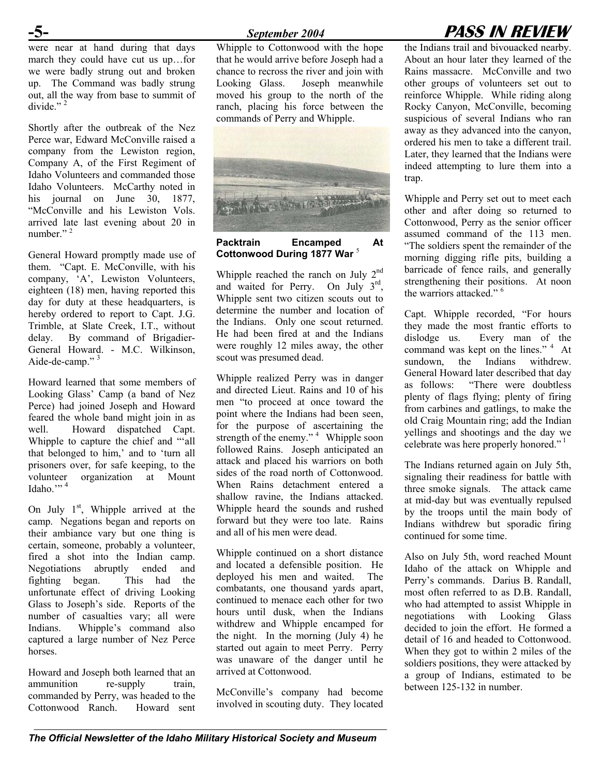were near at hand during that days march they could have cut us up…for we were badly strung out and broken up. The Command was badly strung out, all the way from base to summit of divide." $^2$ 

Shortly after the outbreak of the Nez Perce war, Edward McConville raised a company from the Lewiston region, Company A, of the First Regiment of Idaho Volunteers and commanded those Idaho Volunteers. McCarthy noted in his journal on June 30, 1877, "McConville and his Lewiston Vols. arrived late last evening about 20 in number $"$ <sup>2</sup>

General Howard promptly made use of them. "Capt. E. McConville, with his company, 'A', Lewiston Volunteers, eighteen (18) men, having reported this day for duty at these headquarters, is hereby ordered to report to Capt. J.G. Trimble, at Slate Creek, I.T., without delay. By command of Brigadier-General Howard. - M.C. Wilkinson, Aide-de-camp."<sup>3</sup>

Howard learned that some members of Looking Glass' Camp (a band of Nez Perce) had joined Joseph and Howard feared the whole band might join in as well. Howard dispatched Capt. Whipple to capture the chief and "'all that belonged to him,' and to 'turn all prisoners over, for safe keeping, to the volunteer organization at Mount Idaho."  $4$ 

On July  $1<sup>st</sup>$ , Whipple arrived at the camp. Negations began and reports on their ambiance vary but one thing is certain, someone, probably a volunteer, fired a shot into the Indian camp. Negotiations abruptly ended and fighting began. This had the unfortunate effect of driving Looking Glass to Joseph's side. Reports of the number of casualties vary; all were Indians. Whipple's command also captured a large number of Nez Perce horses.

Howard and Joseph both learned that an ammunition re-supply train, commanded by Perry, was headed to the Cottonwood Ranch. Howard sent Whipple to Cottonwood with the hope that he would arrive before Joseph had a chance to recross the river and join with Looking Glass. Joseph meanwhile moved his group to the north of the ranch, placing his force between the commands of Perry and Whipple.



**Packtrain Encamped At Cottonwood During 1877 War** <sup>5</sup>

Whipple reached the ranch on July  $2<sup>nd</sup>$ and waited for Perry. On July 3rd, Whipple sent two citizen scouts out to determine the number and location of the Indians. Only one scout returned. He had been fired at and the Indians were roughly 12 miles away, the other scout was presumed dead.

Whipple realized Perry was in danger and directed Lieut. Rains and 10 of his men "to proceed at once toward the point where the Indians had been seen, for the purpose of ascertaining the strength of the enemy."  $\frac{1}{4}$  Whipple soon followed Rains. Joseph anticipated an attack and placed his warriors on both sides of the road north of Cottonwood. When Rains detachment entered a shallow ravine, the Indians attacked. Whipple heard the sounds and rushed forward but they were too late. Rains and all of his men were dead.

Whipple continued on a short distance and located a defensible position. He deployed his men and waited. The combatants, one thousand yards apart, continued to menace each other for two hours until dusk, when the Indians withdrew and Whipple encamped for the night. In the morning (July 4) he started out again to meet Perry. Perry was unaware of the danger until he arrived at Cottonwood.

McConville's company had become involved in scouting duty. They located

### **-5-** *September 2004* **PASS IN REVIEW**

the Indians trail and bivouacked nearby. About an hour later they learned of the Rains massacre. McConville and two other groups of volunteers set out to reinforce Whipple. While riding along Rocky Canyon, McConville, becoming suspicious of several Indians who ran away as they advanced into the canyon, ordered his men to take a different trail. Later, they learned that the Indians were indeed attempting to lure them into a trap.

Whipple and Perry set out to meet each other and after doing so returned to Cottonwood, Perry as the senior officer assumed command of the 113 men. "The soldiers spent the remainder of the morning digging rifle pits, building a barricade of fence rails, and generally strengthening their positions. At noon the warriors attacked." <sup>6</sup>

Capt. Whipple recorded, "For hours they made the most frantic efforts to dislodge us. Every man of the command was kept on the lines."<sup>4</sup> At sundown, the Indians withdrew. General Howard later described that day as follows: "There were doubtless plenty of flags flying; plenty of firing from carbines and gatlings, to make the old Craig Mountain ring; add the Indian yellings and shootings and the day we celebrate was here properly honored." 1

The Indians returned again on July 5th, signaling their readiness for battle with three smoke signals. The attack came at mid-day but was eventually repulsed by the troops until the main body of Indians withdrew but sporadic firing continued for some time.

Also on July 5th, word reached Mount Idaho of the attack on Whipple and Perry's commands. Darius B. Randall, most often referred to as D.B. Randall, who had attempted to assist Whipple in negotiations with Looking Glass decided to join the effort. He formed a detail of 16 and headed to Cottonwood. When they got to within 2 miles of the soldiers positions, they were attacked by a group of Indians, estimated to be between 125-132 in number.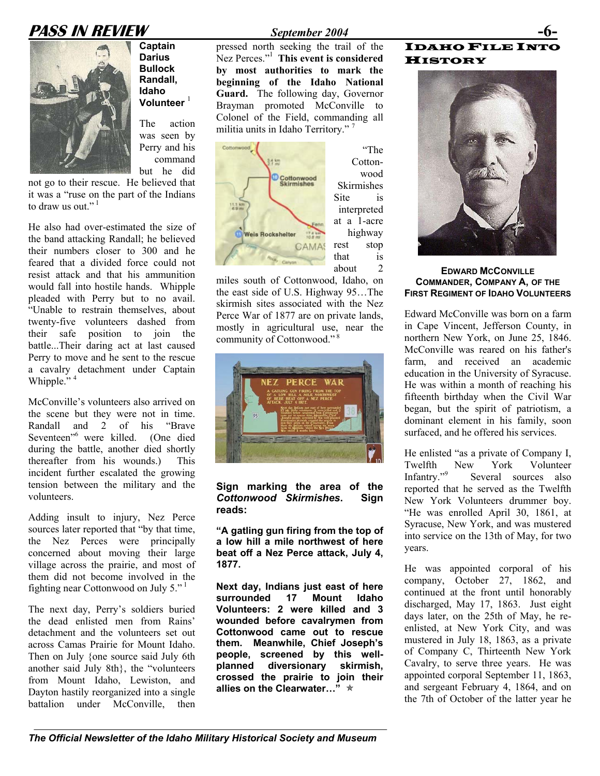### **PASS IN REVIEW** *September 2004* **-6-**



**Captain Darius Bullock Randall, Idaho Volunteer** <sup>1</sup>

The action was seen by Perry and his command but he did

not go to their rescue. He believed that it was a "ruse on the part of the Indians to draw us out." $1$ 

He also had over-estimated the size of the band attacking Randall; he believed their numbers closer to 300 and he feared that a divided force could not resist attack and that his ammunition would fall into hostile hands. Whipple pleaded with Perry but to no avail. "Unable to restrain themselves, about twenty-five volunteers dashed from their safe position to join the battle...Their daring act at last caused Perry to move and he sent to the rescue a cavalry detachment under Captain Whipple."<sup>4</sup>

McConville's volunteers also arrived on the scene but they were not in time. Randall and 2 of his "Brave Seventeen"6 were killed. (One died during the battle, another died shortly thereafter from his wounds.) This incident further escalated the growing tension between the military and the volunteers.

Adding insult to injury, Nez Perce sources later reported that "by that time, the Nez Perces were principally concerned about moving their large village across the prairie, and most of them did not become involved in the fighting near Cottonwood on July 5." $1$ 

The next day, Perry's soldiers buried the dead enlisted men from Rains' detachment and the volunteers set out across Camas Prairie for Mount Idaho. Then on July {one source said July 6th another said July 8th}, the "volunteers from Mount Idaho, Lewiston, and Dayton hastily reorganized into a single battalion under McConville, then

"The

wood

pressed north seeking the trail of the Nez Perces." 1 **This event is considered by most authorities to mark the beginning of the Idaho National Guard.** The following day, Governor Brayman promoted McConville to Colonel of the Field, commanding all militia units in Idaho Territory."<sup>7</sup>



miles south of Cottonwood, Idaho, on the east side of U.S. Highway 95…The skirmish sites associated with the Nez Perce War of 1877 are on private lands, mostly in agricultural use, near the community of Cottonwood."<sup>8</sup>



**Sign marking the area of the**  *Cottonwood Skirmishes***. Sign reads:** 

**"A gatling gun firing from the top of a low hill a mile northwest of here beat off a Nez Perce attack, July 4, 1877. He** was appointed corporal of his

**Next day, Indians just east of here surrounded 17 Mount Idaho Volunteers: 2 were killed and 3 wounded before cavalrymen from Cottonwood came out to rescue them. Meanwhile, Chief Joseph's people, screened by this wellplanned diversionary skirmish, crossed the prairie to join their allies on the Clearwater…"** ★

#### IDAHO FILE INTO **HISTORY**



#### **EDWARD MCCONVILLE COMMANDER, COMPANY A, OF THE FIRST REGIMENT OF IDAHO VOLUNTEERS**

Edward McConville was born on a farm in Cape Vincent, Jefferson County, in northern New York, on June 25, 1846. McConville was reared on his father's farm, and received an academic education in the University of Syracuse. He was within a month of reaching his fifteenth birthday when the Civil War began, but the spirit of patriotism, a dominant element in his family, soon surfaced, and he offered his services.

He enlisted "as a private of Company I, Twelfth New York Volunteer Infantry."<sup>9</sup> Several sources also reported that he served as the Twelfth New York Volunteers drummer boy. "He was enrolled April 30, 1861, at Syracuse, New York, and was mustered into service on the 13th of May, for two years.

company, October 27, 1862, and continued at the front until honorably discharged, May 17, 1863. Just eight days later, on the 25th of May, he reenlisted, at New York City, and was mustered in July 18, 1863, as a private of Company C, Thirteenth New York Cavalry, to serve three years. He was appointed corporal September 11, 1863, and sergeant February 4, 1864, and on the 7th of October of the latter year he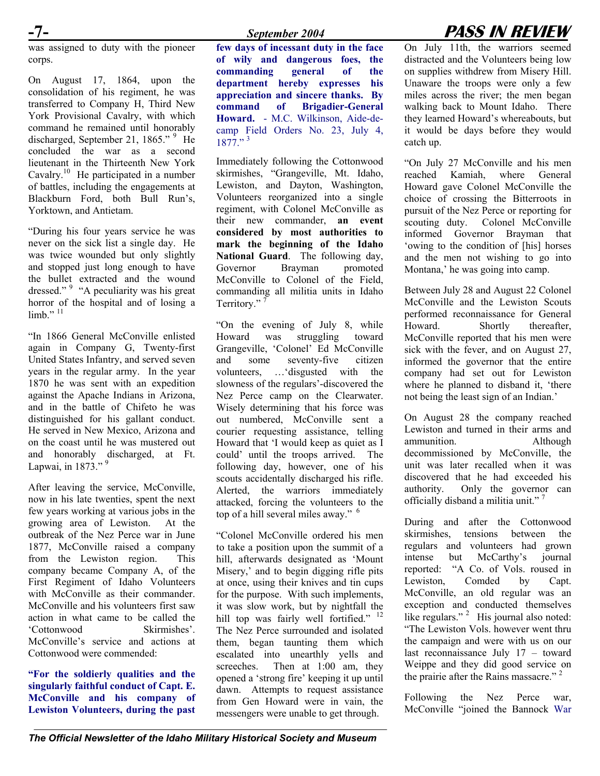was assigned to duty with the pioneer corps.

On August 17, 1864, upon the consolidation of his regiment, he was transferred to Company H, Third New York Provisional Cavalry, with which command he remained until honorably discharged, September 21, 1865."<sup>9</sup> He concluded the war as a second lieutenant in the Thirteenth New York Cavalry.<sup>10</sup> He participated in a number of battles, including the engagements at Blackburn Ford, both Bull Run's, Yorktown, and Antietam.

"During his four years service he was never on the sick list a single day. He was twice wounded but only slightly and stopped just long enough to have the bullet extracted and the wound dressed." <sup>9</sup> "A peculiarity was his great horror of the hospital and of losing a  $limb."$ <sup>11</sup>

"In 1866 General McConville enlisted again in Company G, Twenty-first United States Infantry, and served seven years in the regular army. In the year 1870 he was sent with an expedition against the Apache Indians in Arizona, and in the battle of Chifeto he was distinguished for his gallant conduct. He served in New Mexico, Arizona and on the coast until he was mustered out and honorably discharged, at Ft. Lapwai, in  $1873.^{9}$ 

After leaving the service, McConville, now in his late twenties, spent the next few years working at various jobs in the growing area of Lewiston. At the outbreak of the Nez Perce war in June 1877, McConville raised a company from the Lewiston region. This company became Company A, of the First Regiment of Idaho Volunteers with McConville as their commander. McConville and his volunteers first saw action in what came to be called the 'Cottonwood Skirmishes'. McConville's service and actions at Cottonwood were commended:

**"For the soldierly qualities and the singularly faithful conduct of Capt. E. McConville and his company of Lewiston Volunteers, during the past** **few days of incessant duty in the face of wily and dangerous foes, the commanding general of the department hereby expresses his appreciation and sincere thanks. By command of Brigadier-General Howard.** - M.C. Wilkinson, Aide-decamp Field Orders No. 23, July 4,  $1877.$ "<sup>3</sup>

Immediately following the Cottonwood skirmishes, "Grangeville, Mt. Idaho, Lewiston, and Dayton, Washington, Volunteers reorganized into a single regiment, with Colonel McConville as their new commander, **an event considered by most authorities to mark the beginning of the Idaho National Guard**. The following day, Governor Brayman promoted McConville to Colonel of the Field, commanding all militia units in Idaho Territory."

"On the evening of July 8, while Howard was struggling toward Grangeville, 'Colonel' Ed McConville and some seventy-five citizen volunteers, …'disgusted with the slowness of the regulars'-discovered the Nez Perce camp on the Clearwater. Wisely determining that his force was out numbered, McConville sent a courier requesting assistance, telling Howard that 'I would keep as quiet as I could' until the troops arrived. The following day, however, one of his scouts accidentally discharged his rifle. Alerted, the warriors immediately attacked, forcing the volunteers to the top of a hill several miles away." <sup>6</sup>

"Colonel McConville ordered his men to take a position upon the summit of a hill, afterwards designated as 'Mount Misery,' and to begin digging rifle pits at once, using their knives and tin cups for the purpose. With such implements, it was slow work, but by nightfall the hill top was fairly well fortified." <sup>12</sup> The Nez Perce surrounded and isolated them, began taunting them which escalated into unearthly yells and screeches. Then at 1:00 am, they opened a 'strong fire' keeping it up until dawn. Attempts to request assistance from Gen Howard were in vain, the messengers were unable to get through.

### **-7-** *September 2004* **PASS IN REVIEW**

On July 11th, the warriors seemed distracted and the Volunteers being low on supplies withdrew from Misery Hill. Unaware the troops were only a few miles across the river; the men began walking back to Mount Idaho. There they learned Howard's whereabouts, but it would be days before they would catch up.

"On July 27 McConville and his men reached Kamiah, where General Howard gave Colonel McConville the choice of crossing the Bitterroots in pursuit of the Nez Perce or reporting for scouting duty. Colonel McConville informed Governor Brayman that 'owing to the condition of [his] horses and the men not wishing to go into Montana,' he was going into camp.

Between July 28 and August 22 Colonel McConville and the Lewiston Scouts performed reconnaissance for General Howard. Shortly thereafter, McConville reported that his men were sick with the fever, and on August 27, informed the governor that the entire company had set out for Lewiston where he planned to disband it, 'there not being the least sign of an Indian.'

On August 28 the company reached Lewiston and turned in their arms and ammunition. Although decommissioned by McConville, the unit was later recalled when it was discovered that he had exceeded his authority. Only the governor can officially disband a militia unit." 7

During and after the Cottonwood skirmishes, tensions between the regulars and volunteers had grown intense but McCarthy's journal reported: "A Co. of Vols. roused in Lewiston, Comded by Capt. McConville, an old regular was an exception and conducted themselves like regulars." <sup>2</sup> His journal also noted: "The Lewiston Vols. however went thru the campaign and were with us on our last reconnaissance July 17 – toward Weippe and they did good service on the prairie after the Rains massacre."<sup>2</sup>

Following the Nez Perce war, McConville "joined the Bannock War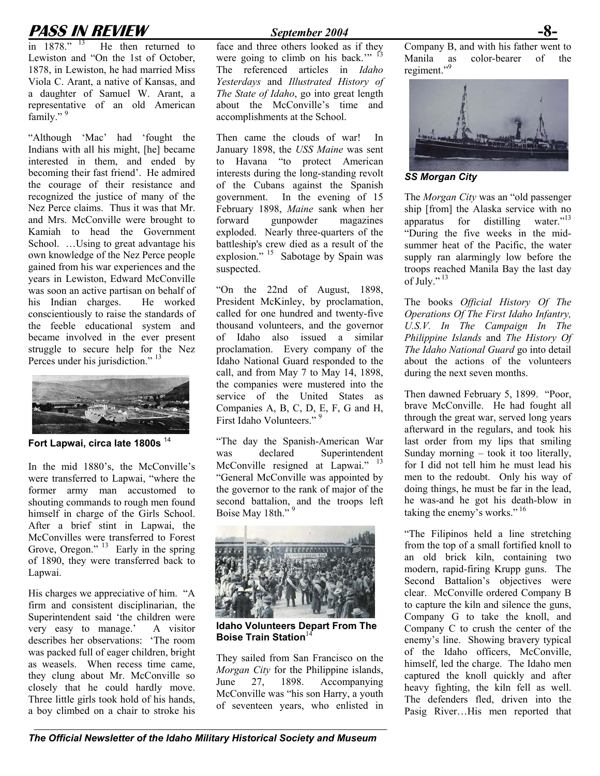## **PASS IN REVIEW** *September 2004*<br>in 1878." <sup>13</sup> He then returned to face and three others looked as

He then returned to Lewiston and "On the 1st of October, 1878, in Lewiston, he had married Miss Viola C. Arant, a native of Kansas, and a daughter of Samuel W. Arant, a representative of an old American family."<sup>9</sup>

"Although 'Mac' had 'fought the Indians with all his might, [he] became interested in them, and ended by becoming their fast friend'. He admired the courage of their resistance and recognized the justice of many of the Nez Perce claims. Thus it was that Mr. and Mrs. McConville were brought to Kamiah to head the Government School. ...Using to great advantage his own knowledge of the Nez Perce people gained from his war experiences and the years in Lewiston, Edward McConville was soon an active partisan on behalf of his Indian charges. He worked conscientiously to raise the standards of the feeble educational system and became involved in the ever present struggle to secure help for the Nez Perces under his jurisdiction."<sup>13</sup>



**Fort Lapwai, circa late 1800s** <sup>14</sup>

In the mid 1880's, the McConville's were transferred to Lapwai, "where the former army man accustomed to shouting commands to rough men found himself in charge of the Girls School. After a brief stint in Lapwai, the McConvilles were transferred to Forest Grove, Oregon." <sup>13</sup> Early in the spring of 1890, they were transferred back to Lapwai.

His charges we appreciative of him. "A firm and consistent disciplinarian, the Superintendent said 'the children were very easy to manage.' A visitor describes her observations: 'The room was packed full of eager children, bright as weasels. When recess time came, they clung about Mr. McConville so closely that he could hardly move. Three little girls took hold of his hands, a boy climbed on a chair to stroke his

face and three others looked as if they were going to climb on his back."<sup>13</sup> The referenced articles in *Idaho Yesterdays* and *Illustrated History of The State of Idaho*, go into great length about the McConville's time and accomplishments at the School.

Then came the clouds of war! In January 1898, the *USS Maine* was sent to Havana "to protect American interests during the long-standing revolt of the Cubans against the Spanish government. In the evening of 15 February 1898, *Maine* sank when her forward gunpowder magazines exploded. Nearly three-quarters of the battleship's crew died as a result of the explosion." 15 Sabotage by Spain was suspected.

"On the 22nd of August, 1898, President McKinley, by proclamation, called for one hundred and twenty-five thousand volunteers, and the governor of Idaho also issued a similar proclamation. Every company of the Idaho National Guard responded to the call, and from May 7 to May 14, 1898, the companies were mustered into the service of the United States as Companies A, B, C, D, E, F, G and H, First Idaho Volunteers."<sup>9</sup>

"The day the Spanish-American War was declared Superintendent McConville resigned at Lapwai." <sup>13</sup> "General McConville was appointed by the governor to the rank of major of the second battalion, and the troops left Boise May 18th."



**Idaho Volunteers Depart From The Boise Train Station**<sup>14</sup>

They sailed from San Francisco on the *Morgan City* for the Philippine islands, June 27, 1898. Accompanying McConville was "his son Harry, a youth of seventeen years, who enlisted in Company B, and with his father went to Manila as color-bearer of the regiment."<sup>9</sup>



*SS Morgan City* 

The *Morgan City* was an "old passenger ship [from] the Alaska service with no apparatus for distilling water."13 "During the five weeks in the midsummer heat of the Pacific, the water supply ran alarmingly low before the troops reached Manila Bay the last day of July." $^{13}$ 

The books *Official History Of The Operations Of The First Idaho Infantry, U.S.V. In The Campaign In The Philippine Islands* and *The History Of The Idaho National Guard* go into detail about the actions of the volunteers during the next seven months.

Then dawned February 5, 1899. "Poor, brave McConville. He had fought all through the great war, served long years afterward in the regulars, and took his last order from my lips that smiling Sunday morning – took it too literally, for I did not tell him he must lead his men to the redoubt. Only his way of doing things, he must be far in the lead, he was-and he got his death-blow in taking the enemy's works."<sup>16</sup>

"The Filipinos held a line stretching from the top of a small fortified knoll to an old brick kiln, containing two modern, rapid-firing Krupp guns. The Second Battalion's objectives were clear. McConville ordered Company B to capture the kiln and silence the guns, Company G to take the knoll, and Company C to crush the center of the enemy's line. Showing bravery typical of the Idaho officers, McConville, himself, led the charge. The Idaho men captured the knoll quickly and after heavy fighting, the kiln fell as well. The defenders fled, driven into the Pasig River…His men reported that

*The Official Newsletter of the Idaho Military Historical Society and Museum*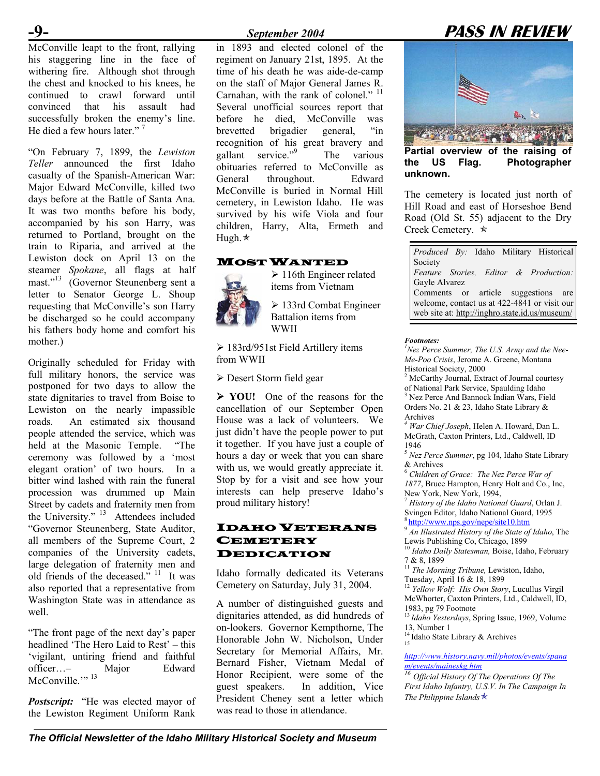McConville leapt to the front, rallying his staggering line in the face of withering fire. Although shot through the chest and knocked to his knees, he continued to crawl forward until convinced that his assault had successfully broken the enemy's line. He died a few hours later."<sup>7</sup>

"On February 7, 1899, the *Lewiston Teller* announced the first Idaho casualty of the Spanish-American War: Major Edward McConville, killed two days before at the Battle of Santa Ana. It was two months before his body, accompanied by his son Harry, was returned to Portland, brought on the train to Riparia, and arrived at the Lewiston dock on April 13 on the steamer *Spokane*, all flags at half mast." 13 (Governor Steunenberg sent a letter to Senator George L. Shoup requesting that McConville's son Harry be discharged so he could accompany his fathers body home and comfort his mother.)

Originally scheduled for Friday with full military honors, the service was postponed for two days to allow the state dignitaries to travel from Boise to Lewiston on the nearly impassible roads. An estimated six thousand people attended the service, which was held at the Masonic Temple. "The ceremony was followed by a 'most elegant oration' of two hours. In a bitter wind lashed with rain the funeral procession was drummed up Main Street by cadets and fraternity men from the University."  $13$  Attendees included "Governor Steunenberg, State Auditor, all members of the Supreme Court, 2 companies of the University cadets, large delegation of fraternity men and old friends of the deceased." 11 It was also reported that a representative from Washington State was in attendance as well.

"The front page of the next day's paper headlined 'The Hero Laid to Rest' – this 'vigilant, untiring friend and faithful officer…– Major Edward McConville."<sup>13</sup>

*Postscript:* "He was elected mayor of the Lewiston Regiment Uniform Rank

in 1893 and elected colonel of the regiment on January 21st, 1895. At the time of his death he was aide-de-camp on the staff of Major General James R. Carnahan, with the rank of colonel."  $11$ Several unofficial sources report that before he died, McConville was brevetted brigadier general, "in recognition of his great bravery and gallant service."<sup>9</sup> The various obituaries referred to McConville as General throughout. Edward McConville is buried in Normal Hill cemetery, in Lewiston Idaho. He was survived by his wife Viola and four children, Harry, Alta, Ermeth and Hugh. \*

#### MOST WANTED

 $\geq 116$ th Engineer related items from Vietnam

 $\geq 133$ rd Combat Engineer Battalion items from WWII

 $\geq 183$ rd/951st Field Artillery items from WWII

 $\triangleright$  Desert Storm field gear

¾ **YOU!** One of the reasons for the cancellation of our September Open House was a lack of volunteers. We just didn't have the people power to put it together. If you have just a couple of hours a day or week that you can share with us, we would greatly appreciate it. Stop by for a visit and see how your interests can help preserve Idaho's proud military history!

### $\textbf{IDAHO}\textbf{VETERANS}$   $\begin{array}{c}\n \frac{\text{8}\text{http://www.nps.gov/nepe/site10.htm}}{94.1\text{/two.mps.gov/nepe/site10.htm}}\n \end{array}$  $\begin{array}{c}\n \frac{\text{8}\text{http://www.nps.gov/nepe/site10.htm}}{94.1\text{/two.mps.gov/nepe/site10.htm}}\n \end{array}$  $\begin{array}{c}\n \frac{\text{8}\text{http://www.nps.gov/nepe/site10.htm}}{94.1\text{/two.mps.gov/nepe/site10.htm}}\n \end{array}$ **CEMETERY** DEDICATION

Idaho formally dedicated its Veterans<br>Cemetery on Saturday, July 31, 2004.

A number of distinguished guests and<br>1983, pg 79 Footnote dignitaries attended, as did hundreds of on-lookers. Governor Kempthorne, The Honorable John W. Nicholson, Under Secretary for Memorial Affairs, Mr. Bernard Fisher, Vietnam Medal of Honor Recipient, were some of the guest speakers. In addition, Vice President Cheney sent a letter which was read to those in attendance.



**Partial overview of the raising of the US Flag. Photographer unknown.** 

The cemetery is located just north of Hill Road and east of Horseshoe Bend Road (Old St. 55) adjacent to the Dry Creek Cemetery.  $\star$ 

| Produced By: Idaho Military Historical         |
|------------------------------------------------|
| Society                                        |
| Feature Stories, Editor & Production:          |
| Gayle Alvarez                                  |
| Comments or article suggestions are            |
| welcome, contact us at 422-4841 or visit our   |
| web site at: http://inghro.state.id.us/museum/ |

#### *Footnotes:*

*1 Nez Perce Summer, The U.S. Army and the Nee-Me-Poo Crisis*, Jerome A. Greene, Montana Historical Society, 2000

<sup>2</sup> McCarthy Journal, Extract of Journal courtesy of National Park Service, Spaulding Idaho <sup>3</sup> Nez Perce And Bannock Indian Wars, Field Orders No. 21 & 23, Idaho State Library &

Archives *4 War Chief Joseph*, Helen A. Howard, Dan L.

McGrath, Caxton Printers, Ltd., Caldwell, ID 1946

<sup>5</sup> *Nez Perce Summer*, pg 104, Idaho State Library & Archives 6 *Children of Grace: The Nez Perce War of*

*1877*, Bruce Hampton, Henry Holt and Co., Inc,

New York, New York, 1994,<br><sup>7</sup> *History of the Idaho National Guard*, Orlan J.<br>Svingen Editor, Idaho National Guard, 1995

<sup>9</sup> *An Illustrated History of the State of Idaho*, The

Lewis Publishing Co, Chicago, 1899<br><sup>10</sup> *Idaho Daily Statesman*, Boise, Idaho, February<br>7 & 8, 1899

<sup>11</sup> The Morning Tribune, Lewiston, Idaho,

<sup>12</sup> Yellow Wolf: His Own Story, Lucullus Virgil McWhorter, Caxton Printers, Ltd., Caldwell, ID,

<sup>13</sup>*Idaho Yesterdays*, Spring Issue, 1969, Volume

13, Number 1<br><sup>14</sup> Idaho State Library & Archives

*[http://www.history.navy.mil/photos/events/spana](http://www.history.navy.mil/photos/events/spanam/events/maineskg.htm)*

*[m/events/maineskg.htm](http://www.history.navy.mil/photos/events/spanam/events/maineskg.htm) <sup>16</sup> Official History Of The Operations Of The First Idaho Infantry, U.S.V. In The Campaign In The Philippine Islands* $\star$